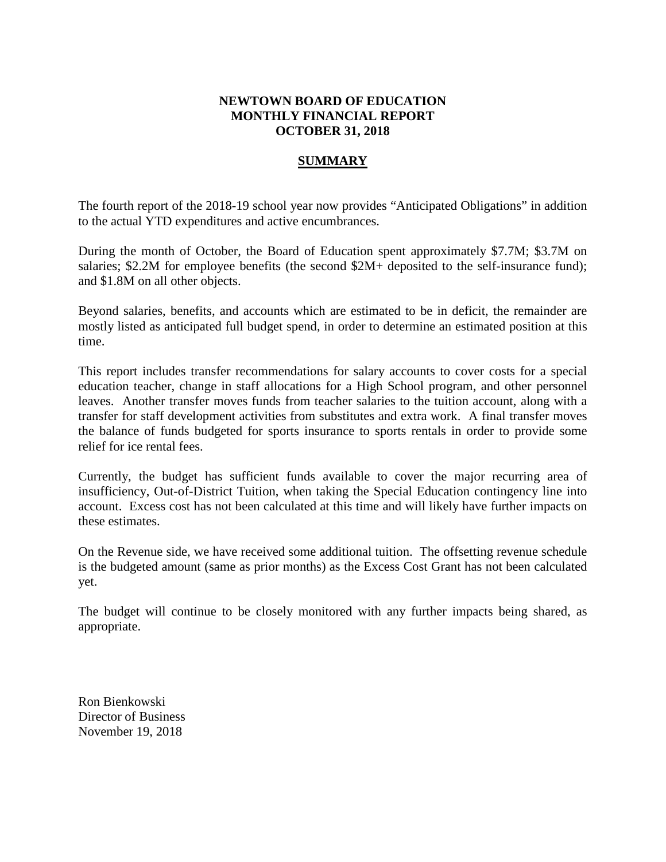# **NEWTOWN BOARD OF EDUCATION MONTHLY FINANCIAL REPORT OCTOBER 31, 2018**

# **SUMMARY**

The fourth report of the 2018-19 school year now provides "Anticipated Obligations" in addition to the actual YTD expenditures and active encumbrances.

During the month of October, the Board of Education spent approximately \$7.7M; \$3.7M on salaries; \$2.2M for employee benefits (the second \$2M+ deposited to the self-insurance fund); and \$1.8M on all other objects.

Beyond salaries, benefits, and accounts which are estimated to be in deficit, the remainder are mostly listed as anticipated full budget spend, in order to determine an estimated position at this time.

This report includes transfer recommendations for salary accounts to cover costs for a special education teacher, change in staff allocations for a High School program, and other personnel leaves. Another transfer moves funds from teacher salaries to the tuition account, along with a transfer for staff development activities from substitutes and extra work. A final transfer moves the balance of funds budgeted for sports insurance to sports rentals in order to provide some relief for ice rental fees.

Currently, the budget has sufficient funds available to cover the major recurring area of insufficiency, Out-of-District Tuition, when taking the Special Education contingency line into account. Excess cost has not been calculated at this time and will likely have further impacts on these estimates.

On the Revenue side, we have received some additional tuition. The offsetting revenue schedule is the budgeted amount (same as prior months) as the Excess Cost Grant has not been calculated yet.

The budget will continue to be closely monitored with any further impacts being shared, as appropriate.

Ron Bienkowski Director of Business November 19, 2018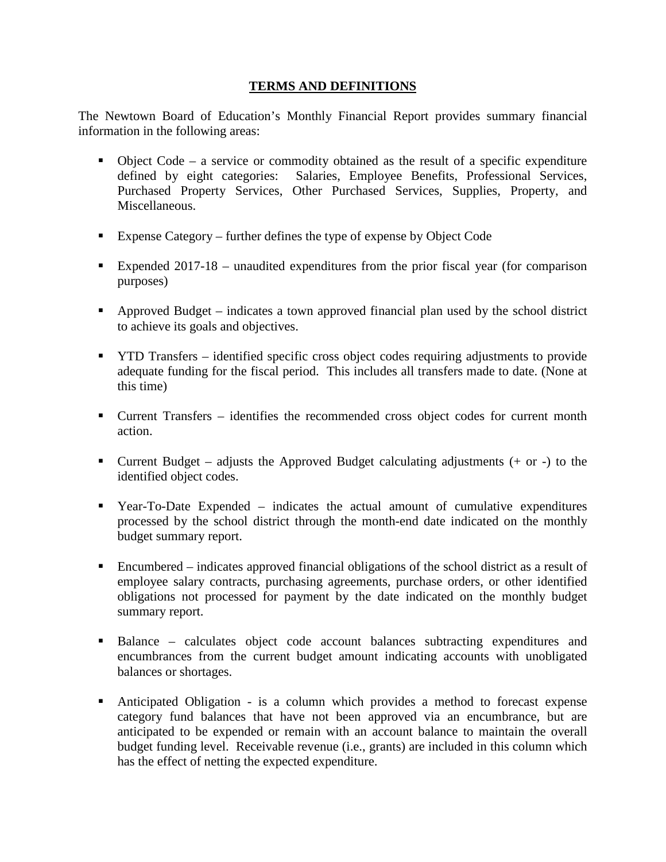# **TERMS AND DEFINITIONS**

The Newtown Board of Education's Monthly Financial Report provides summary financial information in the following areas:

- $\bullet$  Object Code a service or commodity obtained as the result of a specific expenditure defined by eight categories: Salaries, Employee Benefits, Professional Services, Purchased Property Services, Other Purchased Services, Supplies, Property, and Miscellaneous.
- Expense Category further defines the type of expense by Object Code
- Expended 2017-18 unaudited expenditures from the prior fiscal year (for comparison purposes)
- Approved Budget indicates a town approved financial plan used by the school district to achieve its goals and objectives.
- YTD Transfers identified specific cross object codes requiring adjustments to provide adequate funding for the fiscal period. This includes all transfers made to date. (None at this time)
- Current Transfers identifies the recommended cross object codes for current month action.
- Current Budget adjusts the Approved Budget calculating adjustments  $(+)$  or  $-)$  to the identified object codes.
- Year-To-Date Expended indicates the actual amount of cumulative expenditures processed by the school district through the month-end date indicated on the monthly budget summary report.
- Encumbered indicates approved financial obligations of the school district as a result of employee salary contracts, purchasing agreements, purchase orders, or other identified obligations not processed for payment by the date indicated on the monthly budget summary report.
- Balance calculates object code account balances subtracting expenditures and encumbrances from the current budget amount indicating accounts with unobligated balances or shortages.
- Anticipated Obligation is a column which provides a method to forecast expense category fund balances that have not been approved via an encumbrance, but are anticipated to be expended or remain with an account balance to maintain the overall budget funding level. Receivable revenue (i.e., grants) are included in this column which has the effect of netting the expected expenditure.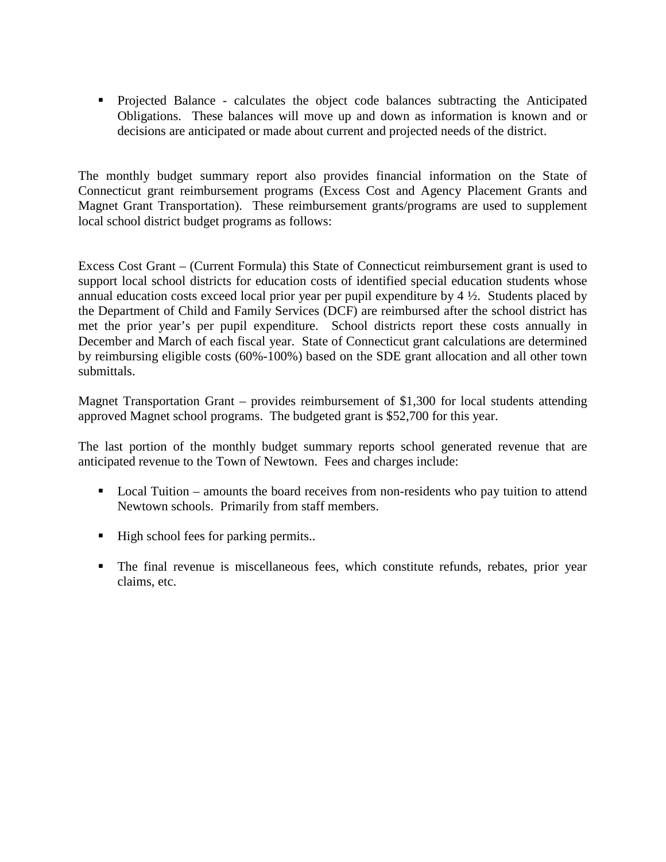Projected Balance - calculates the object code balances subtracting the Anticipated Obligations. These balances will move up and down as information is known and or decisions are anticipated or made about current and projected needs of the district.

The monthly budget summary report also provides financial information on the State of Connecticut grant reimbursement programs (Excess Cost and Agency Placement Grants and Magnet Grant Transportation). These reimbursement grants/programs are used to supplement local school district budget programs as follows:

Excess Cost Grant – (Current Formula) this State of Connecticut reimbursement grant is used to support local school districts for education costs of identified special education students whose annual education costs exceed local prior year per pupil expenditure by 4 ½. Students placed by the Department of Child and Family Services (DCF) are reimbursed after the school district has met the prior year's per pupil expenditure. School districts report these costs annually in December and March of each fiscal year. State of Connecticut grant calculations are determined by reimbursing eligible costs (60%-100%) based on the SDE grant allocation and all other town submittals.

Magnet Transportation Grant – provides reimbursement of \$1,300 for local students attending approved Magnet school programs. The budgeted grant is \$52,700 for this year.

The last portion of the monthly budget summary reports school generated revenue that are anticipated revenue to the Town of Newtown. Fees and charges include:

- Local Tuition amounts the board receives from non-residents who pay tuition to attend Newtown schools. Primarily from staff members.
- High school fees for parking permits..
- The final revenue is miscellaneous fees, which constitute refunds, rebates, prior year claims, etc.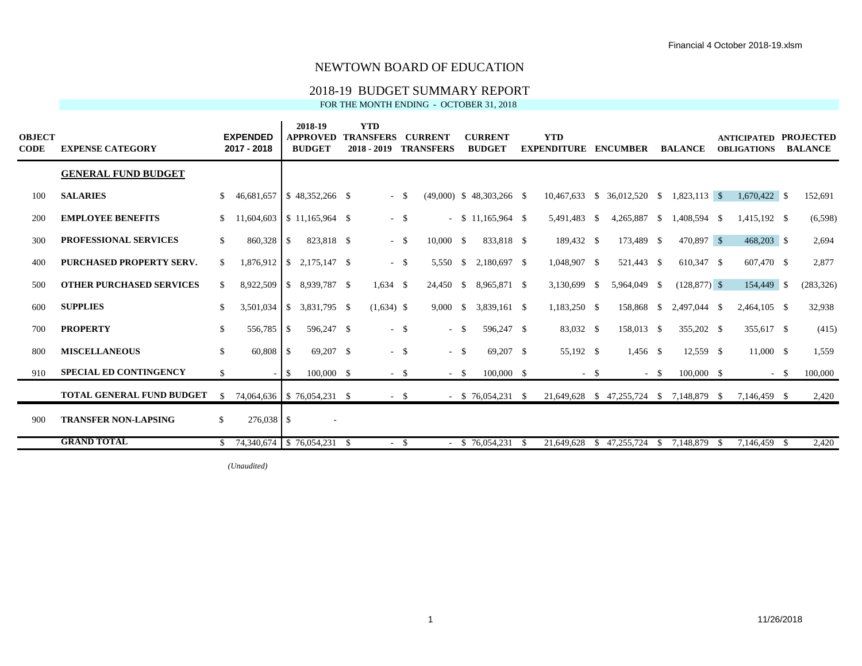## 2018-19 BUDGET SUMMARY REPORT

FOR THE MONTH ENDING - OCTOBER 31, 2018

| <b>OBJECT</b><br>CODE | <b>EXPENSE CATEGORY</b>          |               | <b>EXPENDED</b><br>2017 - 2018                |            | 2018-19<br><b>APPROVED</b><br><b>BUDGET</b> | <b>YTD</b><br><b>TRANSFERS</b><br>$2018 - 2019$ |               | <b>CURRENT</b><br><b>TRANSFERS</b> |      | <b>CURRENT</b><br><b>BUDGET</b> |      | <b>YTD</b><br><b>EXPENDITURE</b> |      | <b>ENCUMBER</b>                        |              | <b>BALANCE</b>  |          | <b>ANTICIPATED</b><br><b>OBLIGATIONS</b> |        | <b>PROJECTED</b><br><b>BALANCE</b> |
|-----------------------|----------------------------------|---------------|-----------------------------------------------|------------|---------------------------------------------|-------------------------------------------------|---------------|------------------------------------|------|---------------------------------|------|----------------------------------|------|----------------------------------------|--------------|-----------------|----------|------------------------------------------|--------|------------------------------------|
|                       | <b>GENERAL FUND BUDGET</b>       |               |                                               |            |                                             |                                                 |               |                                    |      |                                 |      |                                  |      |                                        |              |                 |          |                                          |        |                                    |
| 100                   | <b>SALARIES</b>                  | \$.           | 46,681,657                                    |            |                                             | $- S$                                           |               |                                    |      | $(49,000)$ \$ 48,303,266 \$     |      |                                  |      | 10,467,633 \$ 36,012,520 \$            |              | $1,823,113$ \$  |          | $1,670,422$ \$                           |        | 152,691                            |
| 200                   | <b>EMPLOYEE BENEFITS</b>         | S.            |                                               |            | $11,604,603$   \$ 11,165,964 \$             | $-$ \$                                          |               | $\sim$                             |      | $$11.165.964$ \ \$              |      | 5,491,483 \$                     |      | 4,265,887 \$                           |              | 1,408,594 \$    |          | 1,415,192 \$                             |        | (6,598)                            |
| 300                   | <b>PROFESSIONAL SERVICES</b>     | \$            | 860,328                                       | -S         | 823,818 \$                                  | $- S$                                           |               | 10,000 S                           |      | 833,818 \$                      |      | 189,432 \$                       |      | 173,489 \$                             |              | 470,897 \$      |          | $468,203$ \$                             |        | 2,694                              |
| 400                   | <b>PURCHASED PROPERTY SERV.</b>  | \$            | $1,876,912$ \$                                |            | 2.175.147 \$                                | $- S$                                           |               | 5.550                              | -S   | 2.180.697 \$                    |      | 1,048,907 \$                     |      | 521,443 \$                             |              | 610,347 \$      |          | 607,470 \$                               |        | 2,877                              |
| 500                   | <b>OTHER PURCHASED SERVICES</b>  | S.            | 8,922,509                                     | $\cdot$ \$ | 8.939.787 \$                                | $1.634$ \$                                      |               | 24,450                             |      |                                 |      | 3,130,699                        | - \$ | 5,964,049 \$                           |              | $(128, 877)$ \$ |          | 154,449 \$                               |        | (283, 326)                         |
| 600                   | <b>SUPPLIES</b>                  | S.            | 3,501,034                                     | $\cdot$ \$ | 3,831,795 \$                                | $(1,634)$ \$                                    |               | 9.000                              | -S   | 3,839,161 \$                    |      | 1,183,250 \$                     |      | 158,868 \$                             |              | 2,497,044 \$    |          | $2,464,105$ \$                           |        | 32,938                             |
| 700                   | <b>PROPERTY</b>                  | \$            | 556,785 \$                                    |            | 596,247 \$                                  | $- S$                                           |               | $\sim$                             | - \$ | 596,247 \$                      |      | 83,032 \$                        |      | 158,013 \$                             |              | 355,202 \$      |          | 355,617 \$                               |        | (415)                              |
| 800                   | <b>MISCELLANEOUS</b>             | $\mathbb{S}$  | $60,808$ \$                                   |            | 69,207 \$                                   | $-$ \$                                          |               | $-$ \$                             |      | 69,207 \$                       |      | 55,192 \$                        |      | 1,456 \$                               |              | 12,559 \$       |          | $11,000 \quad$ \$                        |        | 1,559                              |
| 910                   | <b>SPECIAL ED CONTINGENCY</b>    | \$            |                                               | $-1S$      | $100,000$ \$                                | $-$ \$                                          |               | $-$ \$                             |      | 100,000 \$                      |      | $-$ \$                           |      |                                        | $-$ \$       | 100,000 \$      |          |                                          | $-$ \$ | 100,000                            |
|                       | <b>TOTAL GENERAL FUND BUDGET</b> | <sup>\$</sup> |                                               |            | 74,064,636   \$76,054,231 \$                | $-$ \$                                          |               |                                    |      | $-$ \$ 76,054,231 \$            |      |                                  |      | 21,649,628 \$47,255,724 \$7,148,879 \$ |              |                 |          | 7,146,459 \$                             |        | 2,420                              |
| 900                   | <b>TRANSFER NON-LAPSING</b>      | \$            | 276,038 \$                                    |            | $\sim$                                      |                                                 |               |                                    |      |                                 |      |                                  |      |                                        |              |                 |          |                                          |        |                                    |
|                       | <b>GRAND TOTAL</b>               |               | $\frac{1}{2}$ 74,340,674 \ \$ 76,054,231 \ \$ |            |                                             |                                                 | <sup>\$</sup> |                                    |      | $-$ \$ 76,054,231               | - \$ | 21.649.628                       |      | \$47,255,724                           | <sup>S</sup> | 7.148.879       | <b>S</b> | 7.146.459 \$                             |        | 2.420                              |

 $(Unaudited)$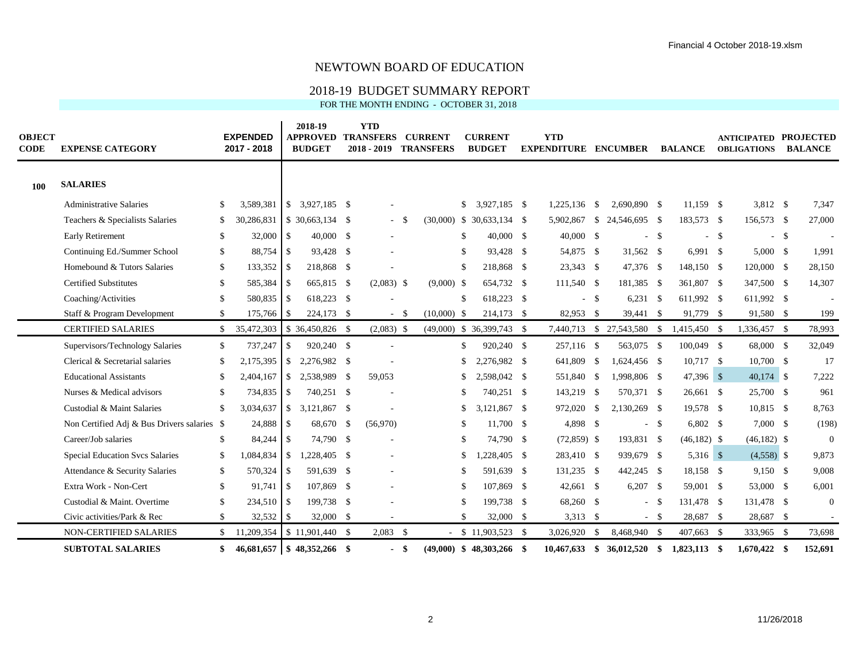## 2018-19 BUDGET SUMMARY REPORT

| <b>OBJECT</b><br><b>CODE</b> | <b>EXPENSE CATEGORY</b>                     |               | <b>EXPENDED</b><br>2017 - 2018 |              | 2018-19<br><b>APPROVED</b><br><b>BUDGET</b> | <b>YTD</b><br><b>TRANSFERS</b><br>$2018 - 2019$ |        | <b>CURRENT</b><br><b>TRANSFERS</b> |               | <b>CURRENT</b><br><b>BUDGET</b> | <b>YTD</b><br><b>EXPENDITURE</b> |        | <b>ENCUMBER</b>            |        | <b>BALANCE</b> |        | <b>ANTICIPATED PROJECTED</b><br><b>OBLIGATIONS</b> |       | <b>BALANCE</b> |
|------------------------------|---------------------------------------------|---------------|--------------------------------|--------------|---------------------------------------------|-------------------------------------------------|--------|------------------------------------|---------------|---------------------------------|----------------------------------|--------|----------------------------|--------|----------------|--------|----------------------------------------------------|-------|----------------|
| 100                          | <b>SALARIES</b>                             |               |                                |              |                                             |                                                 |        |                                    |               |                                 |                                  |        |                            |        |                |        |                                                    |       |                |
|                              | <b>Administrative Salaries</b>              | \$            | 3.589.381                      |              | $$3,927,185$ \$                             |                                                 |        |                                    | $\mathbb{S}$  | 3,927,185 \$                    | 1,225,136 \$                     |        | 2.690.890 \$               |        | $11.159$ \$    |        | 3,812 \$                                           |       | 7,347          |
|                              | Teachers & Specialists Salaries             | S             | 30,286,831                     |              | $$30,663,134$ \\$                           | $\sim$                                          | -S     |                                    |               | $(30,000)$ \$ 30,633,134 \$     | 5,902,867                        |        | $$24,546,695$ \;           |        | 183,573 \$     |        | 156,573 \$                                         |       | 27,000         |
|                              | <b>Early Retirement</b>                     | -S            | 32,000                         | -S           | $40,000$ \$                                 |                                                 |        |                                    | \$.           | $40,000$ \$                     | 40,000 \$                        |        | $\mathcal{L}$              | - \$   |                | $-$ \$ |                                                    | $- S$ |                |
|                              | Continuing Ed./Summer School                | \$            | 88,754 \$                      |              | 93,428 \$                                   |                                                 |        |                                    | <sup>\$</sup> | 93,428 \$                       | 54,875 \$                        |        | 31,562 \$                  |        | $6,991$ \$     |        | $5,000$ \$                                         |       | 1,991          |
|                              | Homebound & Tutors Salaries                 | <sup>\$</sup> | 133,352                        | <b>S</b>     | 218,868 \$                                  |                                                 |        |                                    | <b>S</b>      | 218,868 \$                      | 23,343 \$                        |        | 47,376 \$                  |        | 148,150 \$     |        | 120,000 \$                                         |       | 28,150         |
|                              | <b>Certified Substitutes</b>                | -S            | 585,384                        | -S           | 665,815 \$                                  | $(2,083)$ \$                                    |        | $(9,000)$ \$                       |               | 654,732 \$                      | $111,540$ \$                     |        | 181,385 \$                 |        | 361,807 \$     |        | 347,500 \$                                         |       | 14,307         |
|                              | Coaching/Activities                         | -S            | 580,835 \$                     |              | 618,223 \$                                  |                                                 |        |                                    | $\mathcal{S}$ | 618,223 \$                      |                                  | $-$ \$ | $6,231$ \$                 |        | 611,992 \$     |        | 611,992 \$                                         |       |                |
|                              | Staff & Program Development                 | S.            | 175,766                        | <b>S</b>     | 224,173 \$                                  |                                                 | $-$ \$ | $(10,000)$ \$                      |               | 214,173 \$                      | 82,953 \$                        |        | 39,441 \$                  |        | 91,779 \$      |        | 91,580 \$                                          |       | 199            |
|                              | <b>CERTIFIED SALARIES</b>                   |               | \$35,472,303                   |              | $$36,450,826$ \$                            | $(2,083)$ \$                                    |        |                                    |               | $(49,000)$ \$ 36,399,743 \$     |                                  |        | 7,440,713 \$ 27,543,580 \$ |        | 1,415,450 \$   |        | 1,336,457 \$                                       |       | 78,993         |
|                              | Supervisors/Technology Salaries             | \$            | 737,247                        | \$           | 920,240 \$                                  |                                                 |        |                                    | <sup>\$</sup> | 920,240 \$                      | 257,116 \$                       |        | 563,075 \$                 |        | 100,049 \$     |        | 68,000 \$                                          |       | 32,049         |
|                              | Clerical & Secretarial salaries             | -S            | 2,175,395                      |              |                                             |                                                 |        |                                    | \$.           | 2,276,982 \$                    | 641,809 \$                       |        | 1,624,456 \$               |        | $10,717$ \$    |        | $10,700$ \$                                        |       | 17             |
|                              | <b>Educational Assistants</b>               |               | 2,404,167                      |              | $$2,538,989$ \;                             | 59,053                                          |        |                                    |               | 2,598,042 \$                    | 551,840 \$                       |        | 1,998,806 \$               |        | 47,396 \$      |        | $40,174$ \$                                        |       | 7,222          |
|                              | Nurses & Medical advisors                   | £.            | 734,835                        | l \$         | 740,251 \$                                  |                                                 |        |                                    | £.            | 740,251 \$                      | 143,219 \$                       |        | 570,371 \$                 |        | 26,661 \$      |        | 25,700 \$                                          |       | 961            |
|                              | Custodial & Maint Salaries                  |               | 3,034,637                      | $\mathbb{S}$ | 3,121,867 \$                                |                                                 |        |                                    | \$.           | 3,121,867 \$                    | 972,020 \$                       |        | 2,130,269 \$               |        | 19,578 \$      |        | $10,815$ \$                                        |       | 8,763          |
|                              | Non Certified Adj & Bus Drivers salaries \$ |               | 24,888                         | -S           | 68,670 \$                                   | (56,970)                                        |        |                                    | -S            | $11,700$ \$                     | 4,898 \$                         |        |                            | $-$ \$ | 6,802 \$       |        | 7,000 \$                                           |       | (198)          |
|                              | Career/Job salaries                         | <sup>\$</sup> | 84,244                         | ΙSΙ          | 74,790 \$                                   |                                                 |        |                                    | \$.           | 74,790 \$                       | $(72,859)$ \$                    |        | 193,831 \$                 |        | $(46,182)$ \$  |        | $(46,182)$ \$                                      |       | $\theta$       |
|                              | <b>Special Education Svcs Salaries</b>      | \$            | 1,084,834                      | $\sqrt{S}$   | 1,228,405 \$                                |                                                 |        |                                    | \$            | $,228,405$ \$                   | 283,410 \$                       |        | 939,679 \$                 |        | $5,316$ \$     |        | $(4,558)$ \$                                       |       | 9,873          |
|                              | Attendance & Security Salaries              | S.            | 570,324                        | -S           | 591,639 \$                                  |                                                 |        |                                    | \$.           | 591,639 \$                      | 131,235 \$                       |        | 442,245 \$                 |        | 18,158 \$      |        | 9,150 \$                                           |       | 9,008          |
|                              | Extra Work - Non-Cert                       | <sup>\$</sup> | 91,741                         | l \$         | 107,869 \$                                  |                                                 |        |                                    | <sup>\$</sup> | 107,869 \$                      | 42,661 \$                        |        | $6,207$ \$                 |        | 59,001 \$      |        | 53,000 \$                                          |       | 6,001          |
|                              | Custodial & Maint. Overtime                 | -S            | 234,510 \$                     |              | 199,738 \$                                  |                                                 |        |                                    | \$.           | 199,738 \$                      | 68,260 \$                        |        | ÷.                         | - \$   | 131,478 \$     |        | 131,478 \$                                         |       | $\theta$       |
|                              | Civic activities/Park & Rec                 | S.            | 32,532                         | - \$         | 32,000 \$                                   |                                                 |        |                                    | \$.           | 32,000 \$                       | 3,313 \$                         |        |                            | $-$ \$ | 28,687 \$      |        | 28,687 \$                                          |       |                |
|                              | NON-CERTIFIED SALARIES                      | \$.           | 11,209,354                     |              | $\frac{1}{2}$ \$ 11,901,440 \$              | $2,083$ \$                                      |        |                                    |               | $$11,903,523$ \\$               | 3,026,920                        | - \$   | 8,468,940 \$               |        | 407,663 \$     |        | 333,965 \$                                         |       | 73,698         |
|                              | <b>SUBTOTAL SALARIES</b>                    | \$            | 46,681,657                     |              | $\frac{1}{2}$ \$ 48,352,266 \$              | $\blacksquare$                                  | -\$    |                                    |               | $(49,000)$ \$ 48,303,266 \$     | $10.467.633$ \$                  |        | 36,012,520 \$              |        | 1,823,113 \$   |        | $1.670.422$ \$                                     |       | 152,691        |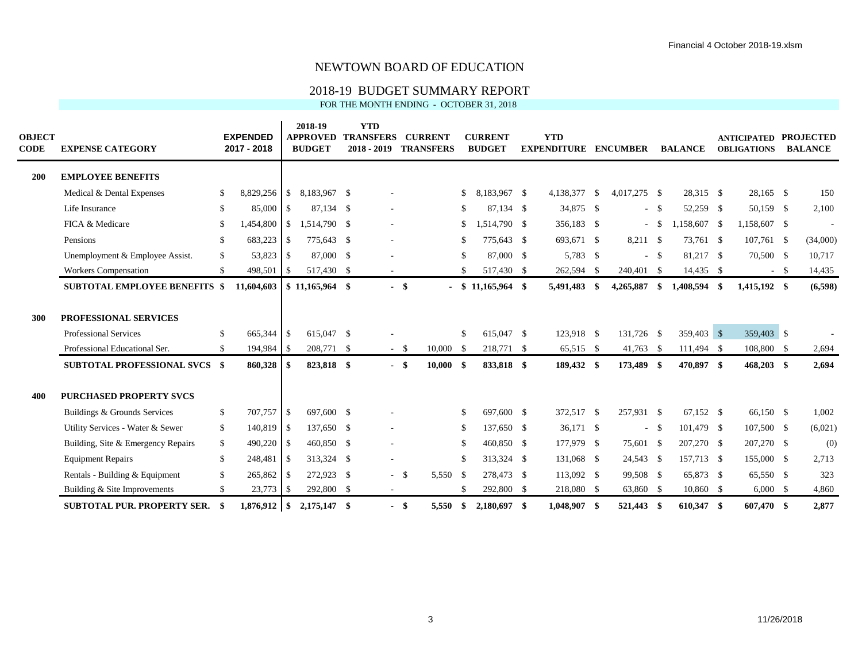## 2018-19 BUDGET SUMMARY REPORT

| <b>OBJECT</b><br><b>CODE</b> | <b>EXPENSE CATEGORY</b>              |               | <b>EXPENDED</b><br>2017 - 2018 |            | 2018-19<br><b>APPROVED</b><br><b>BUDGET</b> | <b>YTD</b><br><b>TRANSFERS</b><br>$2018 - 2019$ |        | <b>CURRENT</b><br><b>TRANSFERS</b> |               | <b>CURRENT</b><br><b>BUDGET</b> |      | <b>YTD</b><br><b>EXPENDITURE</b> | <b>ENCUMBER</b> |           | <b>BALANCE</b> | <b>ANTICIPATED PROJECTED</b><br><b>OBLIGATIONS</b> |        | <b>BALANCE</b> |
|------------------------------|--------------------------------------|---------------|--------------------------------|------------|---------------------------------------------|-------------------------------------------------|--------|------------------------------------|---------------|---------------------------------|------|----------------------------------|-----------------|-----------|----------------|----------------------------------------------------|--------|----------------|
| <b>200</b>                   | <b>EMPLOYEE BENEFITS</b>             |               |                                |            |                                             |                                                 |        |                                    |               |                                 |      |                                  |                 |           |                |                                                    |        |                |
|                              | Medical & Dental Expenses            | -S            |                                |            | 8,183,967 \$                                |                                                 |        |                                    | S.            | 8,183,967 \$                    |      | 4,138,377 \$                     | 4,017,275 \$    |           | 28,315 \$      | 28,165 \$                                          |        | 150            |
|                              | Life Insurance                       | -S            | 85,000 \$                      |            | 87,134 \$                                   | $\overline{\phantom{a}}$                        |        |                                    | -S            | 87,134 \$                       |      | 34,875 \$                        | $\sim$          | - \$      | 52,259 \$      | 50,159 \$                                          |        | 2,100          |
|                              | FICA & Medicare                      | £.            | 1,454,800                      | $\sqrt{3}$ | 1,514,790 \$                                | $\overline{\phantom{a}}$                        |        |                                    | S.            | 1,514,790 \$                    |      | 356,183 \$                       | $\sim$          | - \$      | 1,158,607 \$   | 1,158,607 \$                                       |        |                |
|                              | Pensions                             | -S            | 683,223 \$                     |            | 775,643 \$                                  | $\overline{\phantom{a}}$                        |        |                                    | -S            | 775,643 \$                      |      | 693,671 \$                       | 8,211 \$        |           | 73,761 \$      | $107,761$ \$                                       |        | (34,000)       |
|                              | Unemployment & Employee Assist.      | <sup>\$</sup> | 53,823 \$                      |            | 87,000 \$                                   | $\overline{\phantom{m}}$                        |        |                                    | -S            | 87,000 \$                       |      | 5,783 \$                         | $\sim$          | - \$      | 81,217 \$      | 70,500 \$                                          |        | 10,717         |
|                              | Workers Compensation                 | -S            | 498,501                        | -S         | 517,430 \$                                  | $\sim$                                          |        |                                    |               | 517,430 \$                      |      | 262,594 \$                       | 240,401 \$      |           | 14,435 \$      |                                                    | $-$ \$ | 14,435         |
|                              | <b>SUBTOTAL EMPLOYEE BENEFITS \$</b> |               | 11,604,603                     |            | $$11,165,964$ \,                            |                                                 | - \$   |                                    |               | $$11,165,964$ \\$               |      | 5,491,483 \$                     | 4,265,887       | - \$      | 1,408,594 \$   | 1,415,192 \$                                       |        | (6,598)        |
| 300                          | PROFESSIONAL SERVICES                |               |                                |            |                                             |                                                 |        |                                    |               |                                 |      |                                  |                 |           |                |                                                    |        |                |
|                              | <b>Professional Services</b>         | -S            | 665,344 \$                     |            | 615,047 \$                                  |                                                 |        |                                    | -S            | 615,047 \$                      |      | 123,918 \$                       | 131,726 \$      |           | 359,403 \$     | 359,403 \$                                         |        |                |
|                              | Professional Educational Ser.        | <sup>\$</sup> | 194,984 \$                     |            | 208,771 \$                                  |                                                 | $-$ \$ | $10,000 \quad$ \$                  |               | 218,771                         | -S   | 65,515 \$                        | 41,763 \$       |           | $111,494$ \$   | 108,800 \$                                         |        | 2,694          |
|                              | <b>SUBTOTAL PROFESSIONAL SVCS \$</b> |               | 860,328                        | -S         | 823,818 \$                                  |                                                 | - \$   | $10,000$ \$                        |               | 833,818 \$                      |      | 189,432 \$                       | 173,489 \$      |           | 470,897 \$     | $468,203$ \$                                       |        | 2,694          |
| 400                          | <b>PURCHASED PROPERTY SVCS</b>       |               |                                |            |                                             |                                                 |        |                                    |               |                                 |      |                                  |                 |           |                |                                                    |        |                |
|                              | Buildings & Grounds Services         | <sup>\$</sup> | 707,757 \$                     |            | 697,600 \$                                  |                                                 |        |                                    | -S            | 697,600 \$                      |      | 372,517 \$                       | 257,931 \$      |           | 67,152 \$      | 66,150 \$                                          |        | 1,002          |
|                              | Utility Services - Water & Sewer     | <sup>\$</sup> | 140,819 \$                     |            | 137,650 \$                                  |                                                 |        |                                    | -S            | 137,650 \$                      |      | $36,171$ \$                      |                 | $- S$     | 101,479 \$     | 107,500 \$                                         |        | (6,021)        |
|                              | Building, Site & Emergency Repairs   | <sup>\$</sup> | $490,220$ \$                   |            | 460,850 \$                                  | $\overline{\phantom{a}}$                        |        |                                    | -S            | 460,850 \$                      |      | 177,979 \$                       | 75,601 \$       |           | 207,270 \$     | 207,270 \$                                         |        | (0)            |
|                              | <b>Equipment Repairs</b>             | <sup>\$</sup> | 248,481 \$                     |            | 313,324 \$                                  |                                                 |        |                                    | -S            | 313,324 \$                      |      | 131,068 \$                       | 24,543 \$       |           | 157,713 \$     | 155,000 \$                                         |        | 2,713          |
|                              | Rentals - Building & Equipment       | $\mathbb{S}$  | $265,862$ \$                   |            | 272,923 \$                                  |                                                 | $-$ \$ | 5,550 \$                           |               | 278,473 \$                      |      | 113,092 \$                       | 99,508 \$       |           | 65,873 \$      | 65,550 \$                                          |        | 323            |
|                              | Building & Site Improvements         | <sup>\$</sup> | $23,773$ \$                    |            | 292,800 \$                                  |                                                 |        |                                    | <sup>\$</sup> | 292,800                         | - \$ | 218,080 \$                       | 63,860 \$       |           | 10,860 \$      | $6,000 \quad$ \$                                   |        | 4,860          |
|                              | <b>SUBTOTAL PUR. PROPERTY SER.</b>   |               | $1,876,912$ \$                 |            | 2.175.147 \$                                |                                                 | - \$   | 5,550                              | \$            | 2,180,697                       | -\$  | 1.048.907 \$                     | 521,443         | $\bullet$ | 610.347 \$     | 607.470 \$                                         |        | 2,877          |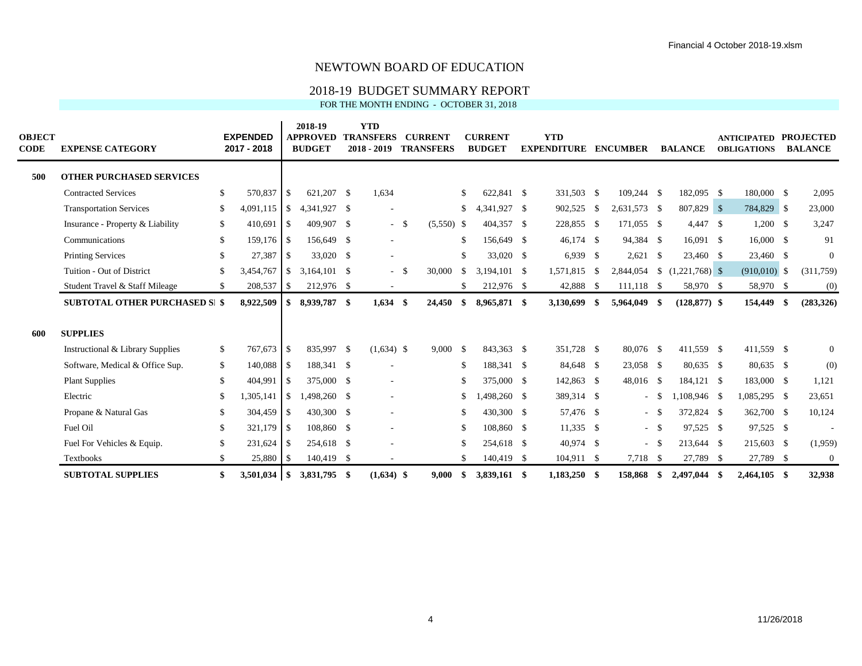## 2018-19 BUDGET SUMMARY REPORT

| <b>OBJECT</b><br><b>CODE</b> | <b>EXPENSE CATEGORY</b>               |               | <b>EXPENDED</b><br>2017 - 2018 |               | 2018-19<br><b>APPROVED</b><br><b>BUDGET</b> | <b>YTD</b><br><b>TRANSFERS</b><br>$2018 - 2019$ |      | <b>CURRENT</b><br><b>TRANSFERS</b> |               | <b>CURRENT</b><br><b>BUDGET</b> |     | <b>YTD</b><br><b>EXPENDITURE</b> |      | <b>ENCUMBER</b> |        | <b>BALANCE</b>  |      | <b>ANTICIPATED</b><br><b>OBLIGATIONS</b> |      | <b>PROJECTED</b><br><b>BALANCE</b> |
|------------------------------|---------------------------------------|---------------|--------------------------------|---------------|---------------------------------------------|-------------------------------------------------|------|------------------------------------|---------------|---------------------------------|-----|----------------------------------|------|-----------------|--------|-----------------|------|------------------------------------------|------|------------------------------------|
| 500                          | <b>OTHER PURCHASED SERVICES</b>       |               |                                |               |                                             |                                                 |      |                                    |               |                                 |     |                                  |      |                 |        |                 |      |                                          |      |                                    |
|                              | <b>Contracted Services</b>            | <sup>\$</sup> | 570,837                        | -S            | 621,207 \$                                  | 1,634                                           |      |                                    | <sup>\$</sup> | 622,841 \$                      |     | 331,503 \$                       |      | 109,244 \$      |        | 182,095 \$      |      | 180,000 \$                               |      | 2,095                              |
|                              | <b>Transportation Services</b>        | $\mathbb{S}$  | 4,091,115                      | \$            | 4,341,927 \$                                | $\overline{\phantom{m}}$                        |      |                                    | \$            | 4,341,927                       | -S  | 902,525 \$                       |      | 2,631,573 \$    |        | 807,829 \$      |      | 784,829 \$                               |      | 23,000                             |
|                              | Insurance - Property & Liability      | \$            | 410,691 \$                     |               | 409,907 \$                                  |                                                 | - \$ | $(5,550)$ \$                       |               | 404,357                         | -\$ | 228,855 \$                       |      | 171,055 \$      |        | 4,447 \$        |      | $1,200$ \$                               |      | 3,247                              |
|                              | Communications                        | <sup>\$</sup> | 159,176 \$                     |               | 156,649 \$                                  | $\overline{\phantom{a}}$                        |      |                                    | \$.           | 156,649 \$                      |     | $46,174$ \$                      |      | 94,384 \$       |        | 16,091 \$       |      | 16,000 \$                                |      | 91                                 |
|                              | <b>Printing Services</b>              | -S            | 27,387 \$                      |               | 33,020 \$                                   | $\overline{\phantom{a}}$                        |      |                                    | -S            | 33,020 \$                       |     | $6,939$ \$                       |      | 2,621           | - \$   | 23,460 \$       |      | 23,460 \$                                |      | $\theta$                           |
|                              | Tuition - Out of District             | <sup>\$</sup> | $3,454,767$ \$                 |               | $3,164,101$ \$                              |                                                 | - \$ | 30,000                             | <sup>\$</sup> | $3,194,101$ \$                  |     | 1,571,815 \$                     |      | 2,844,054       |        |                 |      | $(910,010)$ \$                           |      | (311,759)                          |
|                              | Student Travel & Staff Mileage        | <sup>\$</sup> | 208,537 \$                     |               | 212,976 \$                                  | $\sim$                                          |      |                                    | <sup>\$</sup> | 212,976 \$                      |     | 42,888 \$                        |      | $111,118$ \$    |        | 58,970 \$       |      | 58,970 \$                                |      | (0)                                |
|                              | <b>SUBTOTAL OTHER PURCHASED SI \$</b> |               | 8,922,509                      | \$            | 8,939,787 \$                                | 1,634                                           | -\$  | 24,450                             | \$            | 8,965,871 \$                    |     | 3,130,699                        | - \$ | 5,964,049 \$    |        | $(128, 877)$ \$ |      | 154,449                                  | - \$ | (283, 326)                         |
| 600                          | <b>SUPPLIES</b>                       |               |                                |               |                                             |                                                 |      |                                    |               |                                 |     |                                  |      |                 |        |                 |      |                                          |      |                                    |
|                              | Instructional & Library Supplies      | $\mathbb{S}$  | 767,673 \$                     |               | 835,997 \$                                  | $(1,634)$ \$                                    |      | 9,000 S                            |               | 843,363 \$                      |     | 351,728 \$                       |      | 80,076 \$       |        | 411,559 \$      |      | 411,559 \$                               |      | $\overline{0}$                     |
|                              | Software, Medical & Office Sup.       | \$            | 140,088 \$                     |               | 188,341 \$                                  |                                                 |      |                                    | -S            | 188,341 \$                      |     | 84,648 \$                        |      | 23,058 \$       |        | 80,635 \$       |      | 80,635 \$                                |      | (0)                                |
|                              | <b>Plant Supplies</b>                 | -S            | 404,991                        | <sup>\$</sup> | 375,000 \$                                  | $\overline{a}$                                  |      |                                    | S.            | 375,000 \$                      |     | 142,863 \$                       |      | 48,016 \$       |        | 184,121 \$      |      | 183,000 \$                               |      | 1,121                              |
|                              | Electric                              | -S            | 1,305,141                      | $\mathbb{S}$  | 1,498,260 \$                                | $\overline{\phantom{a}}$                        |      |                                    | \$            | 498,260 \$                      |     | 389,314 \$                       |      | $\sim$          | -S     | 1,108,946 \$    |      | 1,085,295 \$                             |      | 23,651                             |
|                              | Propane & Natural Gas                 | <sup>\$</sup> | 304,459 \$                     |               | 430,300 \$                                  | ٠                                               |      |                                    | -S            | 430,300 \$                      |     | 57,476 \$                        |      |                 | $-$ \$ | 372,824 \$      |      | 362,700 \$                               |      | 10,124                             |
|                              | Fuel Oil                              | -S            | 321,179 \$                     |               | 108,860 \$                                  | $\overline{\phantom{a}}$                        |      |                                    | -S            | 108,860 \$                      |     | $11,335$ \$                      |      |                 | $- S$  | 97,525 \$       |      | 97,525 \$                                |      |                                    |
|                              | Fuel For Vehicles & Equip.            | £.            | 231,624 \$                     |               | 254,618 \$                                  |                                                 |      |                                    | <sup>\$</sup> | 254,618 \$                      |     | 40,974 \$                        |      | $\sim$          | - \$   | 213,644 \$      |      | 215,603 \$                               |      | (1,959)                            |
|                              | <b>Textbooks</b>                      | <sup>\$</sup> | 25,880 \$                      |               | 140,419 \$                                  | $\sim$                                          |      |                                    | <sup>\$</sup> | 140,419                         | -\$ | 104,911 \$                       |      | 7,718 \$        |        | 27,789 \$       |      | 27,789 \$                                |      | $\overline{0}$                     |
|                              | <b>SUBTOTAL SUPPLIES</b>              | \$            |                                |               | 3.831.795 \$                                | $(1.634)$ \$                                    |      | 9.000                              | \$            | 3,839,161 \$                    |     | $1,183,250$ \$                   |      | 158,868         | - \$   | 2,497,044       | - \$ | $2.464.105$ \$                           |      | 32,938                             |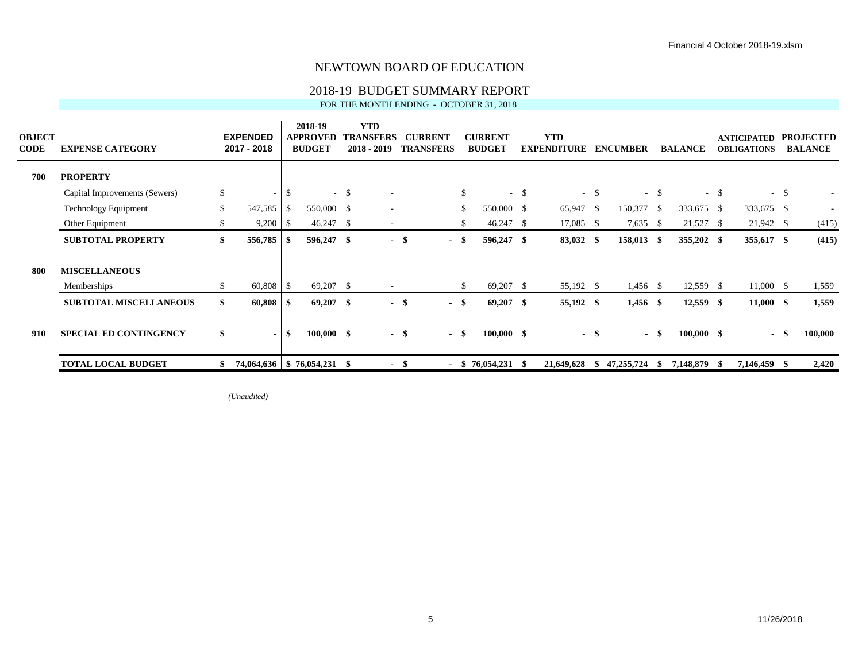## 2018-19 BUDGET SUMMARY REPORT

FOR THE MONTH ENDING - OCTOBER 31, 2018

| <b>OBJECT</b><br><b>CODE</b> | <b>EXPENSE CATEGORY</b>       |               | <b>EXPENDED</b><br>2017 - 2018 |              | 2018-19<br><b>APPROVED</b><br><b>BUDGET</b> |        | <b>YTD</b><br><b>TRANSFERS</b><br>$2018 - 2019$ |      | <b>CURRENT</b><br><b>TRANSFERS</b> |      | <b>CURRENT</b><br><b>BUDGET</b> |        | <b>YTD</b><br><b>EXPENDITURE</b> |        | <b>ENCUMBER</b> |               | <b>BALANCE</b> |        | <b>ANTICIPATED</b><br><b>OBLIGATIONS</b> |        | <b>PROJECTED</b><br><b>BALANCE</b> |
|------------------------------|-------------------------------|---------------|--------------------------------|--------------|---------------------------------------------|--------|-------------------------------------------------|------|------------------------------------|------|---------------------------------|--------|----------------------------------|--------|-----------------|---------------|----------------|--------|------------------------------------------|--------|------------------------------------|
| 700                          | <b>PROPERTY</b>               |               |                                |              |                                             |        |                                                 |      |                                    |      |                                 |        |                                  |        |                 |               |                |        |                                          |        |                                    |
|                              | Capital Improvements (Sewers) | $\mathbb{S}$  | $\sim$                         | $\mathbb{S}$ |                                             | $-$ \$ |                                                 |      |                                    | \$   |                                 | $-$ \$ |                                  | $-$ \$ |                 | $-$ \$        |                | $-$ \$ |                                          | $-$ \$ |                                    |
|                              | Technology Equipment          | <sup>\$</sup> | 547,585                        | - \$         | 550,000 \$                                  |        |                                                 |      |                                    | \$   | 550,000 \$                      |        | 65,947 \$                        |        | 150,377         | <sup>\$</sup> | 333,675 \$     |        | 333,675 \$                               |        |                                    |
|                              | Other Equipment               | \$            | $9,200$   \$                   |              | $46,247$ \$                                 |        | $\sim$                                          |      |                                    | \$   | $46,247$ \$                     |        | $17,085$ \$                      |        | 7,635           | -\$           | 21,527 \$      |        | $21,942$ \$                              |        | (415)                              |
|                              | <b>SUBTOTAL PROPERTY</b>      | \$            | $556,785$ \$                   |              | 596,247 \$                                  |        | $\sim$                                          | - \$ | $\blacksquare$                     | -\$  | 596,247 \$                      |        | 83,032 \$                        |        | 158,013 \$      |               | 355,202 \$     |        | 355,617 \$                               |        | (415)                              |
| 800                          | <b>MISCELLANEOUS</b>          |               |                                |              |                                             |        |                                                 |      |                                    |      |                                 |        |                                  |        |                 |               |                |        |                                          |        |                                    |
|                              | Memberships                   | \$            | $60,808$ \ \ \$                |              | 69,207 \$                                   |        | $\sim$                                          |      |                                    | \$   | $69,207$ \$                     |        | 55,192 \$                        |        | $1,456$ \$      |               | $12,559$ \$    |        | $11,000$ \$                              |        | 1,559                              |
|                              | <b>SUBTOTAL MISCELLANEOUS</b> | \$            | $60,808$ \ \ \$                |              | $69,207$ \$                                 |        | $\sim$                                          | - \$ | $\sim$                             | -\$  | $69,207$ \$                     |        | 55,192 \$                        |        | $1,456$ \$      |               | $12,559$ \$    |        | $11,000$ \$                              |        | 1,559                              |
| 910                          | <b>SPECIAL ED CONTINGENCY</b> | \$            | $\blacksquare$                 | \$           | $100,000$ \$                                |        | - \$                                            |      | $\sim$                             | - \$ | $100,000$ \$                    |        | $\sim$                           | - \$   |                 | - \$          | $100,000$ \$   |        | $\sim$                                   | -86    | 100,000                            |
|                              | <b>TOTAL LOCAL BUDGET</b>     | \$            |                                |              | 74,064,636   \$76,054,231 \$                |        | - \$                                            |      |                                    |      | $-$ \$ 76,054,231 \$            |        | 21,649,628                       | SS.    | 47,255,724      | -S            | 7,148,879      | - SS   | 7,146,459                                | - 86   | 2,420                              |

*(Unaudited)*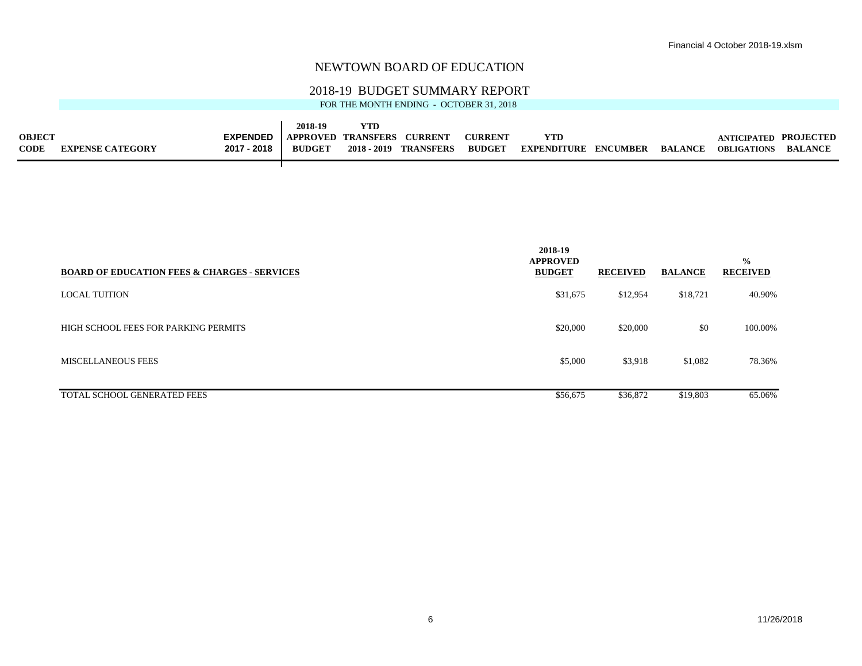#### 2018-19 BUDGET SUMMARY REPORT

|               |                         |                 | 2018-19       | YTD           |                |                |             |          |         |                       |                |
|---------------|-------------------------|-----------------|---------------|---------------|----------------|----------------|-------------|----------|---------|-----------------------|----------------|
| <b>OBJECT</b> |                         | <b>EXPENDED</b> | APPROVED      | TRANSFERS     | <b>CURRENT</b> | <b>CURRENT</b> | <b>YTD</b>  |          |         | ANTICIPATED PROJECTED |                |
| <b>CODE</b>   | <b>EXPENSE CATEGORY</b> | 2017 - 2018     | <b>BUDGET</b> | $2018 - 2019$ | TRANSFERS      | <b>BUDGET</b>  | EXPENDITURE | ENCUMBER | BALANCE | <b>OBLIGATIONS</b>    | <b>BALANCE</b> |
|               |                         |                 |               |               |                |                |             |          |         |                       |                |

| <b>BOARD OF EDUCATION FEES &amp; CHARGES - SERVICES</b> | 2018-19<br><b>APPROVED</b><br><b>BUDGET</b> | <b>RECEIVED</b> | <b>BALANCE</b> | $\frac{0}{0}$<br><b>RECEIVED</b> |
|---------------------------------------------------------|---------------------------------------------|-----------------|----------------|----------------------------------|
| <b>LOCAL TUITION</b>                                    | \$31,675                                    | \$12,954        | \$18,721       | 40.90%                           |
| HIGH SCHOOL FEES FOR PARKING PERMITS                    | \$20,000                                    | \$20,000        | \$0            | 100.00%                          |
| <b>MISCELLANEOUS FEES</b>                               | \$5,000                                     | \$3,918         | \$1,082        | 78.36%                           |
| TOTAL SCHOOL GENERATED FEES                             | \$56,675                                    | \$36,872        | \$19,803       | 65.06%                           |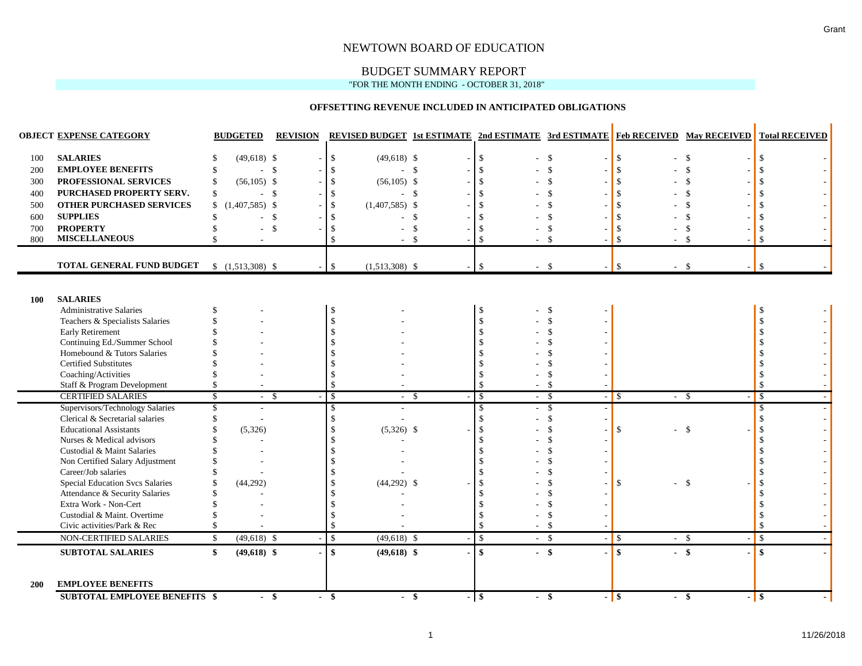## BUDGET SUMMARY REPORT

#### "FOR THE MONTH ENDING - OCTOBER 31, 2018"

#### **OFFSETTING REVENUE INCLUDED IN ANTICIPATED OBLIGATIONS**

|            | <b>OBJECT EXPENSE CATEGORY</b>                                           | <b>BUDGETED</b>        | <b>REVISION</b> | <b>REVISED BUDGET 1st ESTIMATE 2nd ESTIMATE 3rd ESTIMATE Feb RECEIVED May RECEIVED</b> |               |                              |               |                            |               | <b>Total RECEIVED</b> |
|------------|--------------------------------------------------------------------------|------------------------|-----------------|----------------------------------------------------------------------------------------|---------------|------------------------------|---------------|----------------------------|---------------|-----------------------|
| 100        | <b>SALARIES</b>                                                          | $(49,618)$ \$          |                 | \$<br>$(49,618)$ \$                                                                    |               | $\mathcal{S}$                | $\mathbf{s}$  | \$                         | \$            |                       |
| 200        | <b>EMPLOYEE BENEFITS</b>                                                 | $-$ \$                 |                 | $\mathcal{S}$<br>$-5$                                                                  |               | $\mathbf{\$}$                | $\mathcal{S}$ | \$.                        | $\mathcal{S}$ |                       |
| 300        | PROFESSIONAL SERVICES                                                    | $(56,105)$ \$          |                 | $\mathbf{\hat{S}}$<br>$(56,105)$ \$                                                    |               |                              | $\mathcal{S}$ | $\mathbf{\hat{S}}$         | \$            |                       |
| 400        | PURCHASED PROPERTY SERV.                                                 | - \$<br>S.             |                 | $\mathcal{S}$<br>- \$                                                                  |               |                              |               |                            |               |                       |
| 500        | <b>OTHER PURCHASED SERVICES</b>                                          | $(1,407,585)$ \$<br>\$ |                 | \$<br>$(1,407,585)$ \$                                                                 |               |                              | .S            |                            |               |                       |
| 600        | <b>SUPPLIES</b>                                                          | ÷                      | $\mathcal{S}$   | $\mathcal{S}$<br>$\sim$                                                                | $\mathbf{\$}$ |                              | -8            |                            | S.            |                       |
| 700        | <b>PROPERTY</b>                                                          |                        | $\mathcal{S}$   | $\mathcal{S}$                                                                          | \$            |                              | -\$           |                            | <sup>\$</sup> |                       |
| 800        | <b>MISCELLANEOUS</b>                                                     |                        |                 | $\mathcal{S}$<br>$\overline{a}$                                                        | $\mathcal{S}$ |                              | - \$          |                            | $\mathcal{S}$ |                       |
|            |                                                                          |                        |                 |                                                                                        |               |                              |               |                            |               |                       |
|            | TOTAL GENERAL FUND BUDGET                                                | $$(1,513,308)$ \$      |                 | $\mathbb{S}$<br>$(1,513,308)$ \$                                                       |               | $-$ \$<br>$\mathbf{\hat{S}}$ |               | $\mathbf{\hat{S}}$<br>$-5$ |               | $\mathbf{\hat{S}}$    |
|            |                                                                          |                        |                 |                                                                                        |               |                              |               |                            |               |                       |
|            |                                                                          |                        |                 |                                                                                        |               |                              |               |                            |               |                       |
| <b>100</b> | <b>SALARIES</b><br><b>Administrative Salaries</b>                        |                        |                 | -\$                                                                                    |               | - \$                         | -\$           |                            |               |                       |
|            | Teachers & Specialists Salaries                                          |                        |                 | $\mathcal{S}$                                                                          |               |                              |               |                            |               |                       |
|            | <b>Early Retirement</b>                                                  |                        |                 |                                                                                        |               |                              |               |                            |               |                       |
|            | Continuing Ed./Summer School                                             |                        |                 |                                                                                        |               |                              |               |                            |               |                       |
|            | Homebound & Tutors Salaries                                              |                        |                 |                                                                                        |               |                              |               |                            |               |                       |
|            | <b>Certified Substitutes</b>                                             |                        |                 |                                                                                        |               |                              |               |                            |               |                       |
|            | Coaching/Activities                                                      |                        |                 | $\mathbf{\hat{S}}$                                                                     |               |                              | $\mathbf{S}$  |                            |               |                       |
|            | Staff & Program Development                                              |                        |                 | $\mathbf{\hat{S}}$                                                                     |               | $\mathcal{S}$                | - \$          |                            |               |                       |
|            | <b>CERTIFIED SALARIES</b>                                                | S<br>- \$              |                 | $\mathbb{S}$                                                                           | - \$          | $\overline{s}$               | - \$          | $ \sqrt{S}$                | - \$          | $\mathcal{S}$         |
|            | Supervisors/Technology Salaries                                          |                        |                 | -\$                                                                                    |               | \$                           | - \$          |                            |               | -\$                   |
|            | Clerical & Secretarial salaries                                          |                        |                 | $\mathcal{S}$                                                                          |               | \$                           | $\mathcal{S}$ |                            |               |                       |
|            | <b>Educational Assistants</b>                                            | (5,326)                |                 | $(5,326)$ \$<br>-\$                                                                    |               | $\mathbf{\hat{s}}$           | $\mathbf{S}$  | \$                         | $\mathcal{S}$ |                       |
|            | Nurses & Medical advisors                                                |                        |                 |                                                                                        |               |                              |               |                            |               |                       |
|            | Custodial & Maint Salaries                                               |                        |                 |                                                                                        |               |                              |               |                            |               |                       |
|            | Non Certified Salary Adjustment                                          |                        |                 |                                                                                        |               |                              |               |                            |               |                       |
|            | Career/Job salaries                                                      |                        |                 |                                                                                        |               |                              |               |                            |               |                       |
|            | <b>Special Education Svcs Salaries</b><br>Attendance & Security Salaries | (44,292)               |                 | $(44,292)$ \$                                                                          |               | -\$                          |               | \$                         | $\mathcal{S}$ |                       |
|            | Extra Work - Non-Cert                                                    |                        |                 | $\mathcal{S}$                                                                          |               |                              |               |                            |               |                       |
|            | Custodial & Maint. Overtime                                              |                        |                 | $\mathcal{S}$                                                                          |               | -\$                          | $\mathcal{S}$ |                            |               |                       |
|            | Civic activities/Park & Rec                                              |                        |                 | $\mathbf{\hat{S}}$                                                                     |               | $\mathcal{S}$                | -\$           |                            |               | $\mathcal{S}$         |
|            | NON-CERTIFIED SALARIES                                                   | $(49,618)$ \$<br>\$    |                 | $(49,618)$ \$<br>$\mathbb{S}$                                                          |               | $\sqrt{3}$<br>$-$ \$         |               | $-$ \$                     | $-5$          | $\mathbf{\hat{S}}$    |
|            | <b>SUBTOTAL SALARIES</b>                                                 | $(49,618)$ \$<br>\$    |                 | \$<br>$(49,618)$ \$                                                                    |               | $\mathbf{s}$<br>$-$ \$       |               | $\mathbf{s}$               | $-$ \$        | $\mathbf{\$}$         |
|            |                                                                          |                        |                 |                                                                                        |               |                              |               |                            |               |                       |
| 200        | <b>EMPLOYEE BENEFITS</b>                                                 |                        |                 |                                                                                        |               |                              |               |                            |               |                       |
|            | <b>SUBTOTAL EMPLOYEE BENEFITS \$</b>                                     | $-$ \$                 |                 | $-$ \$<br>$-$ \$                                                                       |               | $-$ \$                       | - \$          | $-$ \$                     | - \$          | $-$ \$                |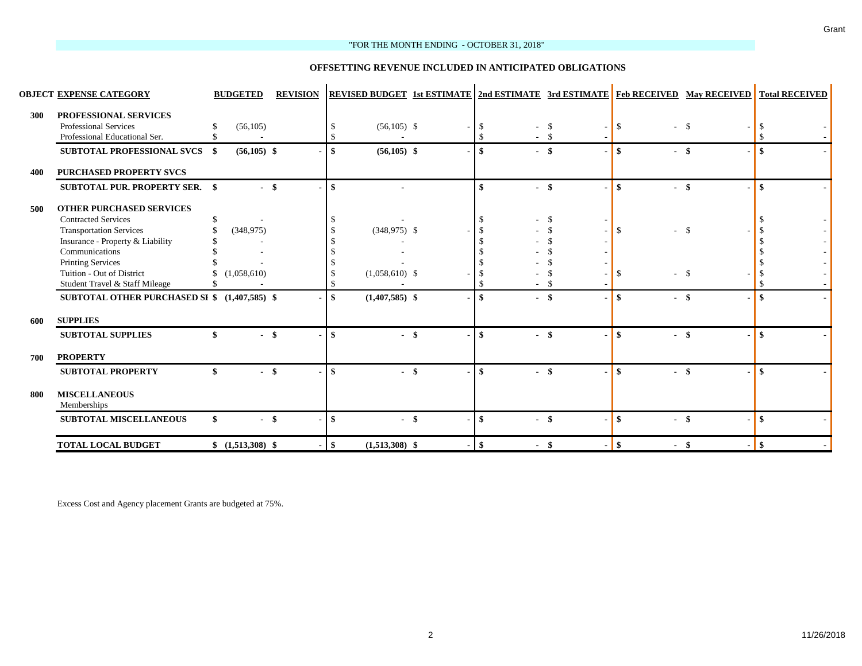#### "FOR THE MONTH ENDING - OCTOBER 31, 2018"

#### **OFFSETTING REVENUE INCLUDED IN ANTICIPATED OBLIGATIONS**

|     | <b>OBJECT EXPENSE CATEGORY</b>                                                         | <b>BUDGETED</b>   | <b>REVISION</b> |               |                  |               |        |      |              | <b>REVISED BUDGET 1st ESTIMATE   2nd ESTIMATE 3rd ESTIMATE   Feb RECEIVED May RECEIVED</b> | <b>Total RECEIVED</b> |
|-----|----------------------------------------------------------------------------------------|-------------------|-----------------|---------------|------------------|---------------|--------|------|--------------|--------------------------------------------------------------------------------------------|-----------------------|
| 300 | PROFESSIONAL SERVICES<br><b>Professional Services</b><br>Professional Educational Ser. | (56, 105)         |                 |               | $(56,105)$ \$    | - 8<br>-\$    | $-5$   | - S  | \$           | -\$                                                                                        |                       |
|     | <b>SUBTOTAL PROFESSIONAL SVCS \$</b>                                                   | $(56,105)$ \$     |                 | -\$           | $(56,105)$ \$    | \$            | $-$ \$ |      | \$           | -\$                                                                                        |                       |
| 400 | <b>PURCHASED PROPERTY SVCS</b>                                                         |                   |                 |               |                  |               |        |      |              |                                                                                            |                       |
|     | <b>SUBTOTAL PUR. PROPERTY SER. \$</b>                                                  | - \$              |                 | $\mathbf{s}$  |                  | \$            | $-$ \$ |      | \$<br>$\sim$ | -\$                                                                                        | -\$                   |
| 500 | <b>OTHER PURCHASED SERVICES</b>                                                        |                   |                 |               |                  |               |        |      |              |                                                                                            |                       |
|     | <b>Contracted Services</b>                                                             |                   |                 |               |                  |               |        | -8   |              |                                                                                            |                       |
|     | <b>Transportation Services</b>                                                         | (348, 975)        |                 |               | $(348,975)$ \$   |               |        |      | \$           | $\mathbf{\hat{S}}$                                                                         |                       |
|     | Insurance - Property & Liability                                                       |                   |                 |               |                  |               |        |      |              |                                                                                            |                       |
|     | Communications                                                                         |                   |                 |               |                  |               |        |      |              |                                                                                            |                       |
|     | <b>Printing Services</b>                                                               |                   |                 |               |                  |               |        |      |              |                                                                                            |                       |
|     | Tuition - Out of District                                                              | (1,058,610)       |                 |               | $(1,058,610)$ \$ |               |        |      | S.           | $\mathcal{S}$                                                                              |                       |
|     | Student Travel & Staff Mileage                                                         |                   |                 |               |                  |               |        |      |              |                                                                                            |                       |
|     | SUBTOTAL OTHER PURCHASED SI \$ (1,407,585) \$                                          |                   |                 | \$            | $(1,407,585)$ \$ | \$            | $-$ \$ |      | \$<br>$\sim$ | -\$                                                                                        |                       |
| 600 | <b>SUPPLIES</b>                                                                        |                   |                 |               |                  |               |        |      |              |                                                                                            |                       |
|     |                                                                                        |                   |                 |               |                  |               |        |      |              |                                                                                            |                       |
|     | <b>SUBTOTAL SUPPLIES</b>                                                               |                   |                 | -\$           | $-$ \$           | \$            |        | - \$ | \$<br>$\sim$ | -\$                                                                                        | -\$                   |
| 700 | <b>PROPERTY</b>                                                                        |                   |                 |               |                  |               |        |      |              |                                                                                            |                       |
|     | <b>SUBTOTAL PROPERTY</b>                                                               | $-$ \$            |                 | -\$           | $-$ \$           | \$            | $-$ \$ |      | \$<br>$\sim$ | $\mathbf{s}$                                                                               | \$                    |
| 800 | <b>MISCELLANEOUS</b><br>Memberships                                                    |                   |                 |               |                  |               |        |      |              |                                                                                            |                       |
|     | <b>SUBTOTAL MISCELLANEOUS</b>                                                          | \$<br>$-$ \$      |                 | <sup>\$</sup> | - \$             | \$            | $-$ \$ |      | \$           | $-$ \$                                                                                     | -\$                   |
|     | <b>TOTAL LOCAL BUDGET</b>                                                              | $$(1,513,308)$ \$ | $\overline{a}$  | \$            | $(1,513,308)$ \$ | $\mathbf{\$}$ | $-$ \$ |      | $-1$ \$      | - \$                                                                                       | <b>S</b>              |

Excess Cost and Agency placement Grants are budgeted at 75%.